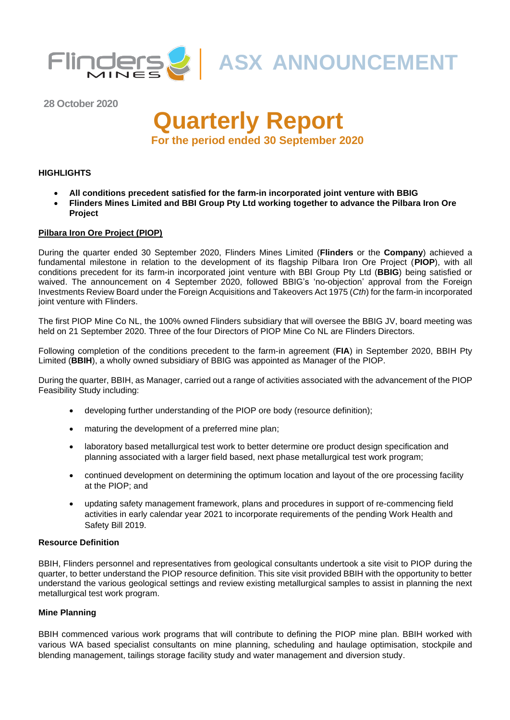

**28 October 2020**

# **Quarterly Report For the period ended 30 September 2020**

#### **HIGHLIGHTS**

- **All conditions precedent satisfied for the farm-in incorporated joint venture with BBIG**
- **Flinders Mines Limited and BBI Group Pty Ltd working together to advance the Pilbara Iron Ore Project**

#### **Pilbara Iron Ore Project (PIOP)**

During the quarter ended 30 September 2020, Flinders Mines Limited (**Flinders** or the **Company**) achieved a fundamental milestone in relation to the development of its flagship Pilbara Iron Ore Project (**PIOP**), with all conditions precedent for its farm-in incorporated joint venture with BBI Group Pty Ltd (**BBIG**) being satisfied or waived. The announcement on 4 September 2020, followed BBIG's 'no-objection' approval from the Foreign Investments Review Board under the Foreign Acquisitions and Takeovers Act 1975 (*Cth*) for the farm-in incorporated joint venture with Flinders.

The first PIOP Mine Co NL, the 100% owned Flinders subsidiary that will oversee the BBIG JV, board meeting was held on 21 September 2020. Three of the four Directors of PIOP Mine Co NL are Flinders Directors.

Following completion of the conditions precedent to the farm-in agreement (**FIA**) in September 2020, BBIH Pty Limited (**BBIH**), a wholly owned subsidiary of BBIG was appointed as Manager of the PIOP.

During the quarter, BBIH, as Manager, carried out a range of activities associated with the advancement of the PIOP Feasibility Study including:

- developing further understanding of the PIOP ore body (resource definition);
- maturing the development of a preferred mine plan;
- laboratory based metallurgical test work to better determine ore product design specification and planning associated with a larger field based, next phase metallurgical test work program;
- continued development on determining the optimum location and layout of the ore processing facility at the PIOP; and
- updating safety management framework, plans and procedures in support of re-commencing field activities in early calendar year 2021 to incorporate requirements of the pending Work Health and Safety Bill 2019.

#### **Resource Definition**

BBIH, Flinders personnel and representatives from geological consultants undertook a site visit to PIOP during the quarter, to better understand the PIOP resource definition. This site visit provided BBIH with the opportunity to better understand the various geological settings and review existing metallurgical samples to assist in planning the next metallurgical test work program.

#### **Mine Planning**

BBIH commenced various work programs that will contribute to defining the PIOP mine plan. BBIH worked with various WA based specialist consultants on mine planning, scheduling and haulage optimisation, stockpile and blending management, tailings storage facility study and water management and diversion study.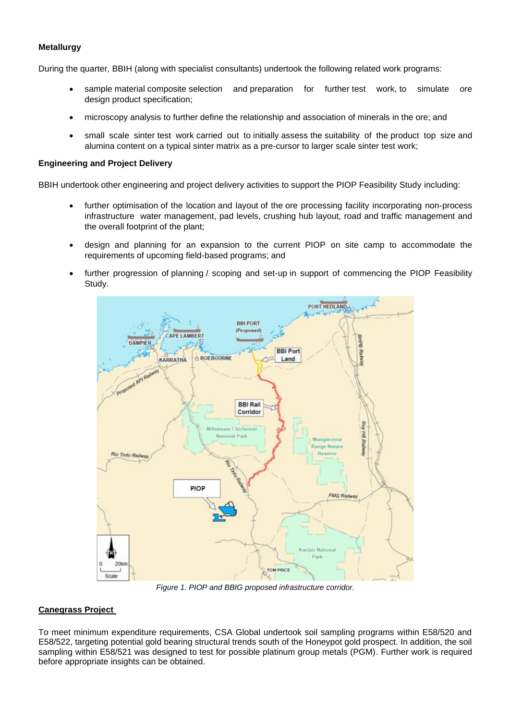### **Metallurgy**

During the quarter, BBIH (along with specialist consultants) undertook the following related work programs:

- sample material composite selection and preparation for further test work, to simulate ore design product specification;
- microscopy analysis to further define the relationship and association of minerals in the ore; and
- small scale sinter test work carried out to initially assess the suitability of the product top size and alumina content on a typical sinter matrix as a pre-cursor to larger scale sinter test work;

#### **Engineering and Project Delivery**

BBIH undertook other engineering and project delivery activities to support the PIOP Feasibility Study including:

- further optimisation of the location and layout of the ore processing facility incorporating non-process infrastructure water management, pad levels, crushing hub layout, road and traffic management and the overall footprint of the plant;
- design and planning for an expansion to the current PIOP on site camp to accommodate the requirements of upcoming field-based programs; and
- further progression of planning / scoping and set-up in support of commencing the PIOP Feasibility Study.



*Figure 1. PIOP and BBIG proposed infrastructure corridor.*

#### **Canegrass Project**

To meet minimum expenditure requirements, CSA Global undertook soil sampling programs within E58/520 and E58/522, targeting potential gold bearing structural trends south of the Honeypot gold prospect. In addition, the soil sampling within E58/521 was designed to test for possible platinum group metals (PGM). Further work is required before appropriate insights can be obtained.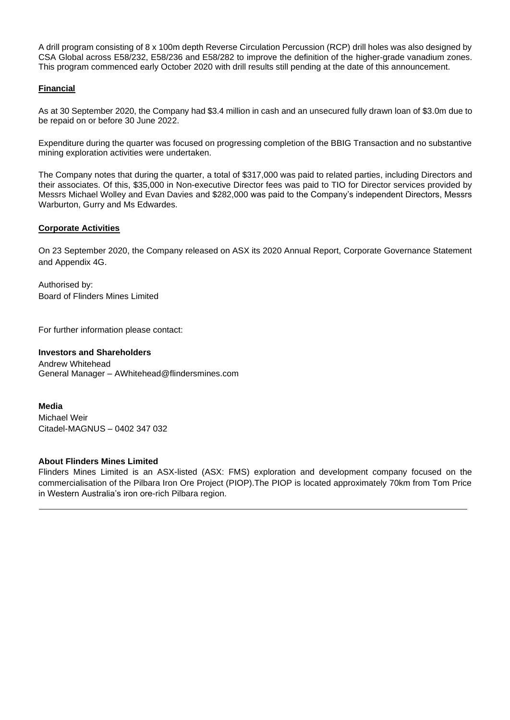A drill program consisting of 8 x 100m depth Reverse Circulation Percussion (RCP) drill holes was also designed by CSA Global across E58/232, E58/236 and E58/282 to improve the definition of the higher-grade vanadium zones. This program commenced early October 2020 with drill results still pending at the date of this announcement.

### **Financial**

As at 30 September 2020, the Company had \$3.4 million in cash and an unsecured fully drawn loan of \$3.0m due to be repaid on or before 30 June 2022.

Expenditure during the quarter was focused on progressing completion of the BBIG Transaction and no substantive mining exploration activities were undertaken.

The Company notes that during the quarter, a total of \$317,000 was paid to related parties, including Directors and their associates. Of this, \$35,000 in Non-executive Director fees was paid to TIO for Director services provided by Messrs Michael Wolley and Evan Davies and \$282,000 was paid to the Company's independent Directors, Messrs Warburton, Gurry and Ms Edwardes.

### **Corporate Activities**

On 23 September 2020, the Company released on ASX its 2020 Annual Report, Corporate Governance Statement and Appendix 4G.

Authorised by: Board of Flinders Mines Limited

For further information please contact:

#### **Investors and Shareholders**

Andrew Whitehead General Manager – AWhitehead@flindersmines.com

**Media** Michael Weir Citadel-MAGNUS – 0402 347 032

#### **About Flinders Mines Limited**

Flinders Mines Limited is an ASX-listed (ASX: FMS) exploration and development company focused on the commercialisation of the Pilbara Iron Ore Project (PIOP).The PIOP is located approximately 70km from Tom Price in Western Australia's iron ore-rich Pilbara region.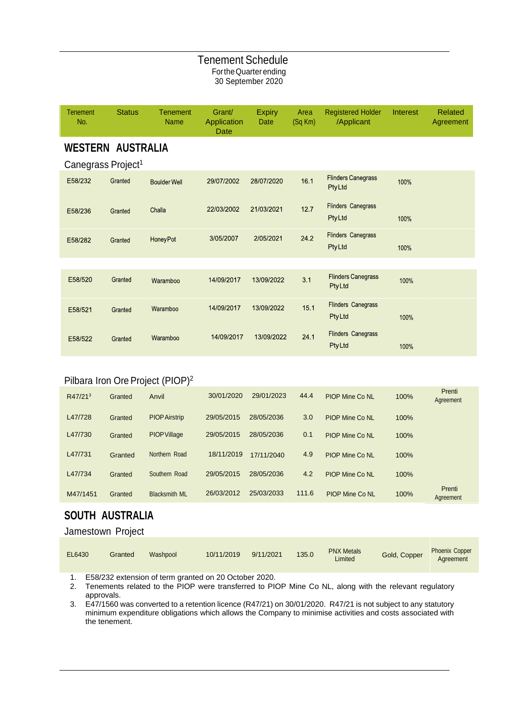## Tenement Schedule FortheQuarterending 30 September 2020

| <b>Tenement</b><br>No.         | <b>Status</b> | <b>Tenement</b><br><b>Name</b> | Grant/<br>Application<br>Date | <b>Expiry</b><br>Date | Area<br>$(Sq$ Km $)$ | <b>Registered Holder</b><br>/Applicant     | Interest | <b>Related</b><br>Agreement |
|--------------------------------|---------------|--------------------------------|-------------------------------|-----------------------|----------------------|--------------------------------------------|----------|-----------------------------|
| <b>WESTERN AUSTRALIA</b>       |               |                                |                               |                       |                      |                                            |          |                             |
| Canegrass Project <sup>1</sup> |               |                                |                               |                       |                      |                                            |          |                             |
| E58/232                        | Granted       | <b>Boulder Well</b>            | 29/07/2002                    | 28/07/2020            | 16.1                 | <b>Flinders Canegrass</b><br>PtyLtd        | 100%     |                             |
| E58/236                        | Granted       | Challa                         | 22/03/2002                    | 21/03/2021            | 12.7                 | <b>Flinders Canegrass</b><br><b>PtyLtd</b> | 100%     |                             |
| E58/282                        | Granted       | <b>Honey Pot</b>               | 3/05/2007                     | 2/05/2021             | 24.2                 | <b>Flinders Canegrass</b><br><b>PtyLtd</b> | 100%     |                             |
|                                |               |                                |                               |                       |                      |                                            |          |                             |
| E58/520                        | Granted       | Waramboo                       | 14/09/2017                    | 13/09/2022            | 3.1                  | <b>Flinders Canegrass</b><br><b>PtyLtd</b> | 100%     |                             |
| E58/521                        | Granted       | Waramboo                       | 14/09/2017                    | 13/09/2022            | 15.1                 | <b>Flinders Canegrass</b><br><b>PtyLtd</b> | 100%     |                             |
| E58/522                        | Granted       | Waramboo                       | 14/09/2017                    | 13/09/2022            | 24.1                 | <b>Flinders Canegrass</b><br><b>PtyLtd</b> | 100%     |                             |

# Pilbara Iron Ore Project (PIOP)<sup>2</sup>

| R47/21 <sup>3</sup> | Granted | Anvil                | 30/01/2020 | 29/01/2023 | 44.4  | <b>PIOP Mine Co NL</b> | 100% | Prenti<br>Agreement |
|---------------------|---------|----------------------|------------|------------|-------|------------------------|------|---------------------|
| L47/728             | Granted | <b>PIOP Airstrip</b> | 29/05/2015 | 28/05/2036 | 3.0   | <b>PIOP Mine Co NL</b> | 100% |                     |
| L47/730             | Granted | <b>PIOP Village</b>  | 29/05/2015 | 28/05/2036 | 0.1   | <b>PIOP Mine Co NL</b> | 100% |                     |
| L47/731             | Granted | Northern Road        | 18/11/2019 | 17/11/2040 | 4.9   | <b>PIOP Mine Co NL</b> | 100% |                     |
| L47/734             | Granted | Southern Road        | 29/05/2015 | 28/05/2036 | 4.2   | <b>PIOP Mine Co NL</b> | 100% |                     |
| M47/1451            | Granted | <b>Blacksmith ML</b> | 26/03/2012 | 25/03/2033 | 111.6 | <b>PIOP Mine Co NL</b> | 100% | Prenti<br>Agreement |

# **SOUTH AUSTRALIA**

## Jamestown Project

| EL6430 | Granted | Washpool | 10/11/2019 | 9/11/2021 | 135.0 | <b>PNX Metals</b><br>Limited | Gold, Copper | <b>Phoenix Copper</b><br>Agreement |
|--------|---------|----------|------------|-----------|-------|------------------------------|--------------|------------------------------------|
|--------|---------|----------|------------|-----------|-------|------------------------------|--------------|------------------------------------|

1. E58/232 extension of term granted on 20 October 2020.

2. Tenements related to the PIOP were transferred to PIOP Mine Co NL, along with the relevant regulatory approvals.

3. E47/1560 was converted to a retention licence (R47/21) on 30/01/2020. R47/21 is not subject to any statutory minimum expenditure obligations which allows the Company to minimise activities and costs associated with the tenement.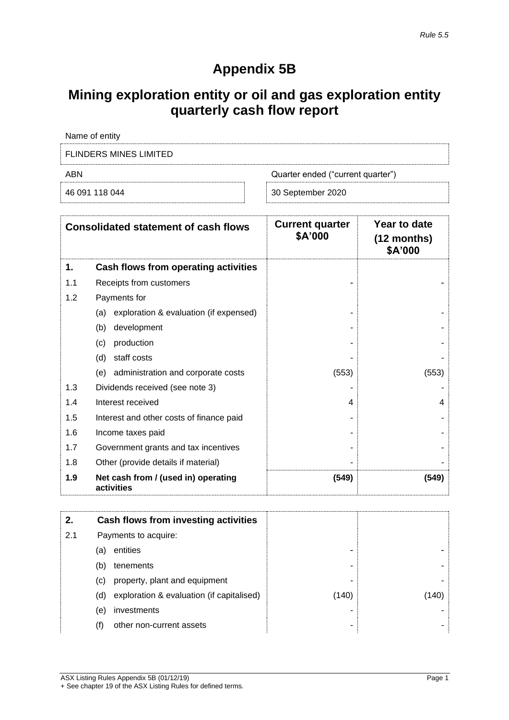# **Appendix 5B**

# **Mining exploration entity or oil and gas exploration entity quarterly cash flow report**

| Name of entity         |                                   |  |  |  |
|------------------------|-----------------------------------|--|--|--|
| FLINDERS MINES LIMITED |                                   |  |  |  |
| ABN                    | Quarter ended ("current quarter") |  |  |  |
| 46 091 118 044         | 30 September 2020                 |  |  |  |

| <b>Consolidated statement of cash flows</b> |                                                   | <b>Current quarter</b><br>\$A'000 | Year to date<br>$(12$ months)<br>\$A'000 |
|---------------------------------------------|---------------------------------------------------|-----------------------------------|------------------------------------------|
| 1.                                          | Cash flows from operating activities              |                                   |                                          |
| 1.1                                         | Receipts from customers                           |                                   |                                          |
| 1.2                                         | Payments for                                      |                                   |                                          |
|                                             | exploration & evaluation (if expensed)<br>(a)     |                                   |                                          |
|                                             | development<br>(b)                                |                                   |                                          |
|                                             | production<br>(c)                                 |                                   |                                          |
|                                             | staff costs<br>(d)                                |                                   |                                          |
|                                             | administration and corporate costs<br>(e)         | (553)                             | (553)                                    |
| 1.3                                         | Dividends received (see note 3)                   |                                   |                                          |
| 1.4                                         | Interest received                                 | 4                                 | 4                                        |
| 1.5                                         | Interest and other costs of finance paid          |                                   |                                          |
| 1.6                                         | Income taxes paid                                 |                                   |                                          |
| 1.7                                         | Government grants and tax incentives              |                                   |                                          |
| 1.8                                         | Other (provide details if material)               |                                   |                                          |
| 1.9                                         | Net cash from / (used in) operating<br>activities | (549)                             | (549)                                    |

| 2.  |     | Cash flows from investing activities      |       |       |
|-----|-----|-------------------------------------------|-------|-------|
| 2.1 |     | Payments to acquire:                      |       |       |
|     | (a) | entities                                  | -     |       |
|     | (b) | tenements                                 | -     |       |
|     | (C) | property, plant and equipment             | -     |       |
|     | (d) | exploration & evaluation (if capitalised) | (140) | (140) |
|     | (e) | investments                               |       |       |
|     |     | other non-current assets                  | -     |       |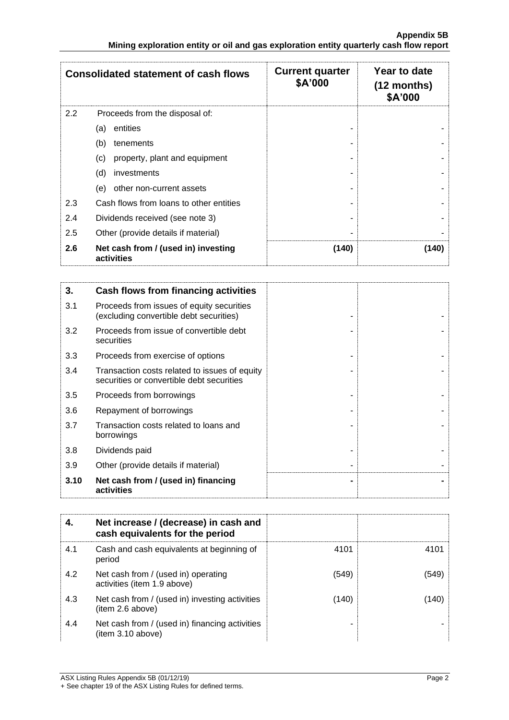|     | <b>Consolidated statement of cash flows</b>       | <b>Current quarter</b><br>\$A'000 | Year to date<br>$(12$ months)<br>\$A'000 |
|-----|---------------------------------------------------|-----------------------------------|------------------------------------------|
| 2.2 | Proceeds from the disposal of:                    |                                   |                                          |
|     | entities<br>(a)                                   |                                   |                                          |
|     | (b)<br>tenements                                  |                                   |                                          |
|     | property, plant and equipment<br>(c)              |                                   |                                          |
|     | (d)<br>investments                                |                                   |                                          |
|     | other non-current assets<br>(e)                   |                                   |                                          |
| 2.3 | Cash flows from loans to other entities           |                                   |                                          |
| 2.4 | Dividends received (see note 3)                   |                                   |                                          |
| 2.5 | Other (provide details if material)               |                                   |                                          |
| 2.6 | Net cash from / (used in) investing<br>activities | (140)                             | (140)                                    |

| 3.   | Cash flows from financing activities                                                       |  |
|------|--------------------------------------------------------------------------------------------|--|
| 3.1  | Proceeds from issues of equity securities<br>(excluding convertible debt securities)       |  |
| 3.2  | Proceeds from issue of convertible debt<br>securities                                      |  |
| 3.3  | Proceeds from exercise of options                                                          |  |
| 3.4  | Transaction costs related to issues of equity<br>securities or convertible debt securities |  |
| 3.5  | Proceeds from borrowings                                                                   |  |
| 3.6  | Repayment of borrowings                                                                    |  |
| 3.7  | Transaction costs related to loans and<br>borrowings                                       |  |
| 3.8  | Dividends paid                                                                             |  |
| 3.9  | Other (provide details if material)                                                        |  |
| 3.10 | Net cash from / (used in) financing<br>activities                                          |  |

| 4.  | Net increase / (decrease) in cash and<br>cash equivalents for the period |       |       |
|-----|--------------------------------------------------------------------------|-------|-------|
| 4.1 | Cash and cash equivalents at beginning of<br>period                      | 4101  | 4101  |
| 4.2 | Net cash from / (used in) operating<br>activities (item 1.9 above)       | (549) | (549) |
| 4.3 | Net cash from / (used in) investing activities<br>(item 2.6 above)       | (140) | (140) |
| 4.4 | Net cash from / (used in) financing activities<br>item 3.10 above)       |       |       |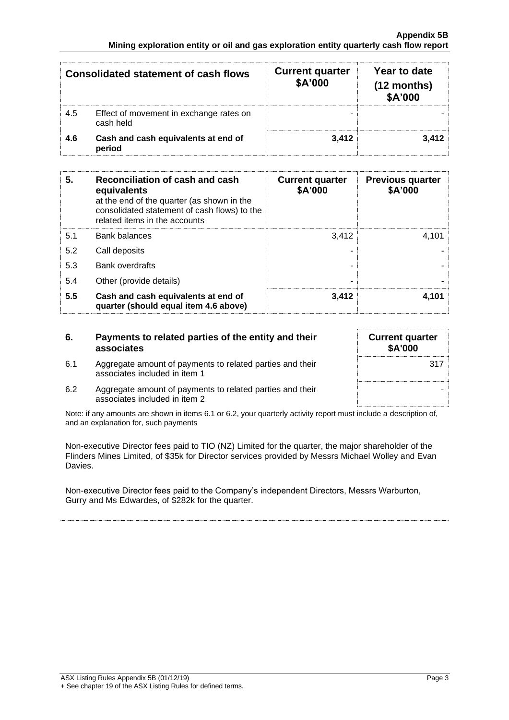|     | <b>Consolidated statement of cash flows</b>          | <b>Current quarter</b><br>\$A'000 | Year to date<br>$(12$ months)<br>\$A'000 |
|-----|------------------------------------------------------|-----------------------------------|------------------------------------------|
| 4.5 | Effect of movement in exchange rates on<br>cash held |                                   |                                          |
| 4.6 | Cash and cash equivalents at end of<br>period        | 3.412                             | 3.412                                    |

| 5.  | Reconciliation of cash and cash<br>equivalents<br>at the end of the quarter (as shown in the<br>consolidated statement of cash flows) to the<br>related items in the accounts | <b>Current quarter</b><br>\$A'000 | <b>Previous quarter</b><br>\$A'000 |
|-----|-------------------------------------------------------------------------------------------------------------------------------------------------------------------------------|-----------------------------------|------------------------------------|
| 5.1 | <b>Bank balances</b>                                                                                                                                                          | 3.412                             | 4.101                              |
| 5.2 | Call deposits                                                                                                                                                                 |                                   |                                    |
| 5.3 | <b>Bank overdrafts</b>                                                                                                                                                        |                                   |                                    |
| 5.4 | Other (provide details)                                                                                                                                                       | -                                 |                                    |
| 5.5 | Cash and cash equivalents at end of<br>quarter (should equal item 4.6 above)                                                                                                  | 3,412                             | 4.101                              |

| 6.  | Payments to related parties of the entity and their<br>associates                          | <b>Current quarter</b><br><b>\$A'000</b> |
|-----|--------------------------------------------------------------------------------------------|------------------------------------------|
| 6.1 | Aggregate amount of payments to related parties and their<br>associates included in item 1 | 317                                      |
| 6.2 | Aggregate amount of payments to related parties and their<br>associates included in item 2 |                                          |

Note: if any amounts are shown in items 6.1 or 6.2, your quarterly activity report must include a description of, and an explanation for, such payments

Non-executive Director fees paid to TIO (NZ) Limited for the quarter, the major shareholder of the Flinders Mines Limited, of \$35k for Director services provided by Messrs Michael Wolley and Evan Davies.

Non-executive Director fees paid to the Company's independent Directors, Messrs Warburton, Gurry and Ms Edwardes, of \$282k for the quarter.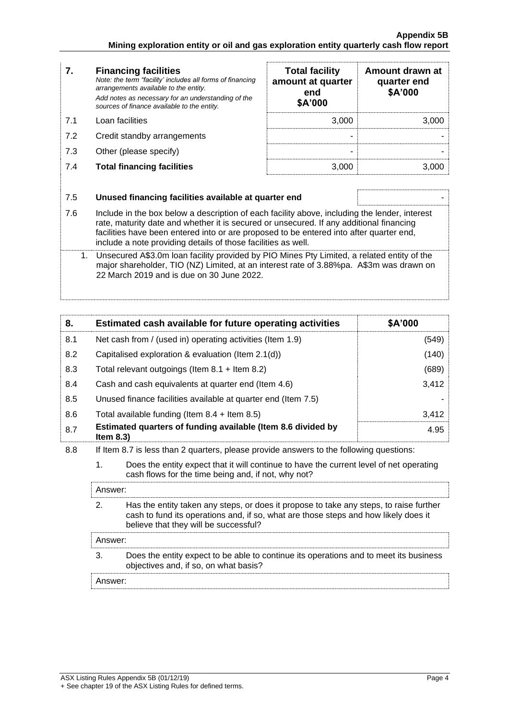ŗ

| $\overline{7}$ . | <b>Financing facilities</b><br>Note: the term "facility' includes all forms of financing<br>arrangements available to the entity.                                                                                                                                                                                                                    | <b>Total facility</b><br>amount at quarter<br>end<br>\$A'000 | Amount drawn at<br>quarter end<br>\$A'000 |  |
|------------------|------------------------------------------------------------------------------------------------------------------------------------------------------------------------------------------------------------------------------------------------------------------------------------------------------------------------------------------------------|--------------------------------------------------------------|-------------------------------------------|--|
|                  | Add notes as necessary for an understanding of the<br>sources of finance available to the entity.                                                                                                                                                                                                                                                    |                                                              |                                           |  |
| 7.1              | Loan facilities                                                                                                                                                                                                                                                                                                                                      | 3,000                                                        | 3,000                                     |  |
| 7.2              | Credit standby arrangements                                                                                                                                                                                                                                                                                                                          |                                                              |                                           |  |
| 7.3              | Other (please specify)                                                                                                                                                                                                                                                                                                                               |                                                              |                                           |  |
| 7.4              | <b>Total financing facilities</b>                                                                                                                                                                                                                                                                                                                    | 3,000                                                        | 3,000                                     |  |
|                  |                                                                                                                                                                                                                                                                                                                                                      |                                                              |                                           |  |
| 7.5              | Unused financing facilities available at quarter end                                                                                                                                                                                                                                                                                                 |                                                              |                                           |  |
| 7.6              | Include in the box below a description of each facility above, including the lender, interest<br>rate, maturity date and whether it is secured or unsecured. If any additional financing<br>facilities have been entered into or are proposed to be entered into after quarter end,<br>include a note providing details of those facilities as well. |                                                              |                                           |  |
|                  | Lloopeurad $\Lambda$ C2 Om loop fooilitunee idad by DIO Minoo Dtyl imitad is related ontity of the                                                                                                                                                                                                                                                   |                                                              |                                           |  |

1. Unsecured A\$3.0m loan facility provided by PIO Mines Pty Limited, a related entity of the major shareholder, TIO (NZ) Limited, at an interest rate of 3.88%pa. A\$3m was drawn on 22 March 2019 and is due on 30 June 2022.

| 8.  |                                                                                                                                                                                                                              | Estimated cash available for future operating activities                                                                       | \$A'000 |
|-----|------------------------------------------------------------------------------------------------------------------------------------------------------------------------------------------------------------------------------|--------------------------------------------------------------------------------------------------------------------------------|---------|
| 8.1 | Net cash from / (used in) operating activities (Item 1.9)                                                                                                                                                                    |                                                                                                                                | (549)   |
| 8.2 |                                                                                                                                                                                                                              | Capitalised exploration & evaluation (Item 2.1(d))                                                                             | (140)   |
| 8.3 | Total relevant outgoings (Item $8.1$ + Item $8.2$ )                                                                                                                                                                          |                                                                                                                                | (689)   |
| 8.4 | Cash and cash equivalents at quarter end (Item 4.6)                                                                                                                                                                          |                                                                                                                                | 3,412   |
| 8.5 | Unused finance facilities available at quarter end (Item 7.5)                                                                                                                                                                |                                                                                                                                |         |
| 8.6 | Total available funding (Item $8.4$ + Item $8.5$ )                                                                                                                                                                           |                                                                                                                                | 3,412   |
| 8.7 | Estimated quarters of funding available (Item 8.6 divided by<br>4.95<br>Item $8.3$ )                                                                                                                                         |                                                                                                                                |         |
| 8.8 | If Item 8.7 is less than 2 quarters, please provide answers to the following questions:                                                                                                                                      |                                                                                                                                |         |
|     | 1.<br>Does the entity expect that it will continue to have the current level of net operating<br>cash flows for the time being and, if not, why not?                                                                         |                                                                                                                                |         |
|     | Answer:                                                                                                                                                                                                                      |                                                                                                                                |         |
|     | 2.<br>Has the entity taken any steps, or does it propose to take any steps, to raise further<br>cash to fund its operations and, if so, what are those steps and how likely does it<br>believe that they will be successful? |                                                                                                                                |         |
|     | Answer:                                                                                                                                                                                                                      |                                                                                                                                |         |
|     | 3.                                                                                                                                                                                                                           | Does the entity expect to be able to continue its operations and to meet its business<br>objectives and, if so, on what basis? |         |
|     | Answer:                                                                                                                                                                                                                      |                                                                                                                                |         |

**Amount drawn at**